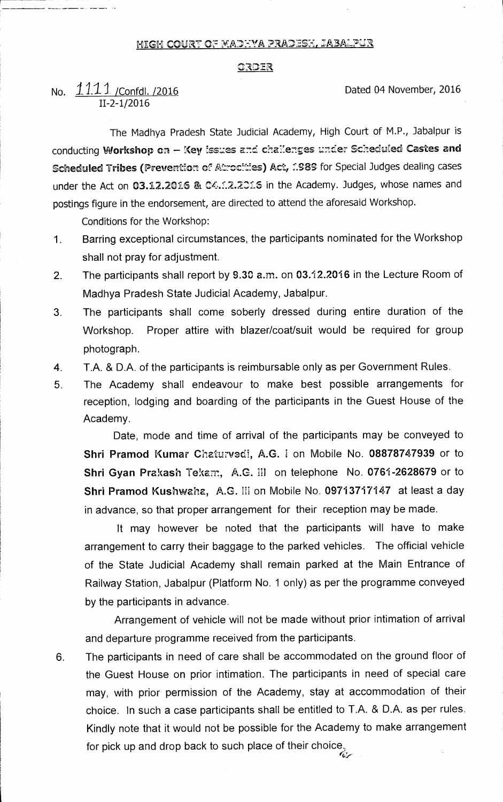## MIGH COURT OF MADHYA PRADESH, JABALPUR

## ORDER

## No. 1.1.1.1. / Confdl. /2016 2016 11-2-1/2016

The Madhya Pradesh State Judicial Academy, High Court of M.P., Jabalpur is conducting Workshop on - Key issues and chailenges under Scheduled Castes and Scheduled Tribes (Prevention of Atrocities) Act, 1989 for Special Judges dealing cases under the Act on 03.12.2016 & C4.1.2.2016 in the Academy. Judges, whose names and postings figure in the endorsement, are directed to attend the aforesaid Workshop.

Conditions for the Workshop:

- 1. Barring exceptional circumstances, the participants nominated for the Workshop shall not pray for adjustment.
- 2. The participants shall report by 9.30 a.m. on 03.12.2016 in the Lecture Room of Madhya Pradesh State Judicial Academy, Jabalpur.
- 3. The participants shall come soberly dressed during entire duration of the Workshop. Proper attire with blazer/coat/suit would be required for group photograph.
- 4. T.A. & D.A. of the participants is reimbursable only as per Government Rules.
- 5. The Academy shall endeavour to make best possible arrangements for reception, lodging and boarding of the participants in the Guest House of the Academy.

Date, mode and time of arrival of the participants may be conveyed to **Shri Pramod Kumar Chaturvedi, A.G. I on Mobile No. 08878747939 or to Shri Gyan Prakash** Tekam, A.G. III on telephone No. **0761-2628679** or to **Shri Pramod Kushwaha, A.G. III on Mobile No. 09713717147 at least a day** in advance, so that proper arrangement for their reception may be made.

It may however be noted that the participants will have to make arrangement to carry their baggage to the parked vehicles. The official vehicle of the State Judicial Academy shall remain parked at the Main Entrance of Railway Station, Jabalpur (Platform No. 1 only) as per the programme conveyed by the participants in advance.

Arrangement of vehicle will not be made without prior intimation of arrival and departure programme received from the participants.

6. The participants in need of care shall be accommodated on the ground floor of the Guest House on prior intimation. The participants in need of special care may, with prior permission of the Academy, stay at accommodation of their choice. In such a case participants shall be entitled to T.A. & D.A. as per rules. Kindly note that it would not be possible for the Academy to make arrangement for pick up and drop back to such place of their choice.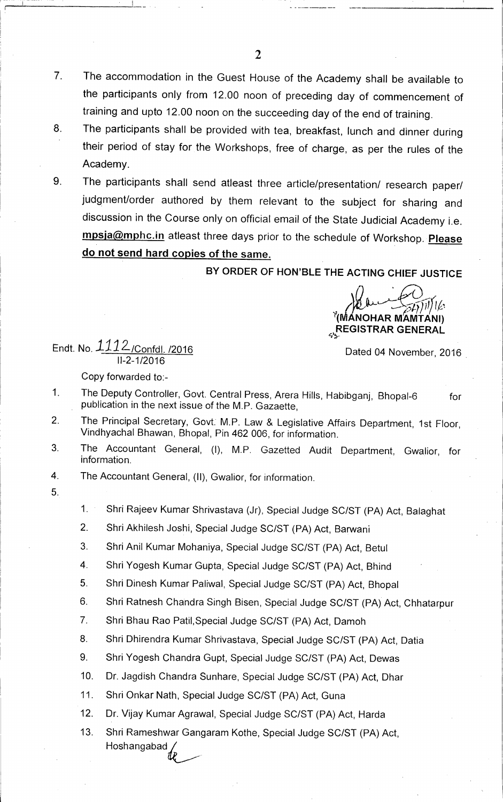- 7. The accommodation in the Guest House of the Academy shall be available to the participants only from 12.00 noon of preceding day of commencement of training and upto 12.00 noon on the succeeding day of the end of training.
- 8. The participants shall be provided with tea, breakfast, lunch and dinner during their period of stay for the Workshops, free of charge, as per the rules of the Academy.
- 9. The participants shall send atleast three article/presentation/ research paper/ judgment/order authored by them relevant to the subject for sharing and discussion in the Course only on official email of the State Judicial Academy i.e. mpsja@mphc.in atleast three days prior to the schedule of Workshop. **Please do not send hard copies of the same.**

**BY ORDER OF HON'BLE THE ACTING CHIEF JUSTICE** 

**(nn NOHAR MAMTANI) REGISTRAR GENERAL** 

**Dated 04 November, 2016** 

Endt. **No.111 2-/Confdl. /2016 11-2-1/2016** 

**Copy forwarded to:-** 

- **1 The Deputy Controller, Govt. Central Press, Arera Hills, Habibganj, Bhopal-6 for publication in the next issue of the M.P. Gazaette,**
- **2. The Principal Secretary, Govt. M.P. Law & Legislative Affairs Department, 1st Floor, Vindhyachal Bhawan, Bhopal, Pin 462 006, for information.**
- **3. The Accountant General, (I), M.P. Gazetted Audit Department, Gwalior, for information.**
- **4. The Accountant General, (II), Gwalior, for information.**
- $5<sub>1</sub>$
- **1. Shri Rajeev Kumar Shrivastava (Jr), Special Judge SC/ST (PA) Act, Balaghat**
- **2. Shri Akhilesh Joshi, Special Judge SC/ST (PA) Act, Barwani**
- **3. Shri Anil Kumar Mohaniya, Special Judge SC/ST (PA) Act, Betul**
- **4. Shri Yogesh Kumar Gupta, Special Judge SC/ST (PA) Act, Bhind**
- **5. Shri Dinesh Kumar Paliwal, Special Judge SC/ST (PA) Act, Bhopal**
- **6. Shri Ratnesh Chandra Singh Bisen, Special Judge SC/ST (PA) Act, Chhatarpur**
- **7. Shri Bhau Rao Patil,Special Judge SC/ST (PA) Act, Damoh**
- **8. Shri Dhirendra Kumar Shrivastava, Special Judge SC/ST (PA) Act, Datia**
- **9. Shri Yogesh Chandra Gupt, Special Judge SC/ST (PA) Act, Dewas**
- **10. Dr. Jagdish Chandra Sunhare, Special Judge SC/ST (PA) Act, Dhar**
- **11. Shri Onkar Nath, Special Judge SC/ST (PA) Act, Guna**
- **12. Dr. Vijay Kumar Agrawal, Special Judge SC/ST (PA) Act, Harda**
- **13. Shri Rameshwar Gangaram Kothe, Special Judge SC/ST (PA) Act, Hoshangabad**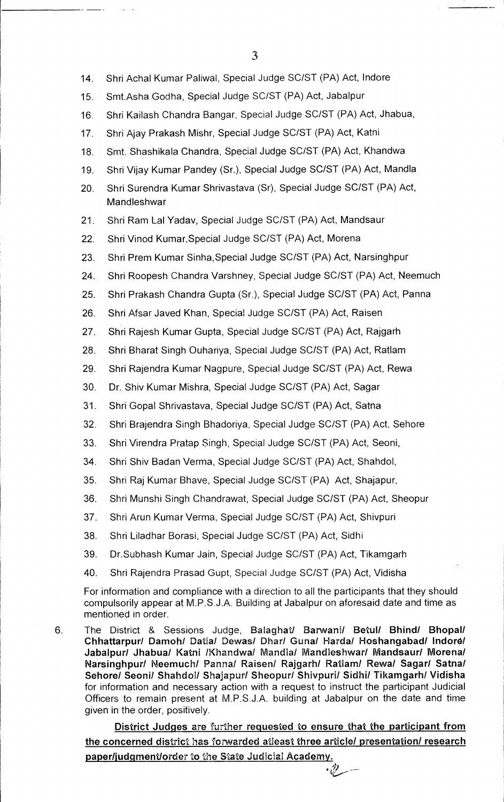14. Shri Achal Kumar Paliwal, Special Judge SC/ST (PA) Act, lndore

15. Smt.Asha Godha, Special Judge SC/ST (PA) Act, Jabalpur

16. Shri Kailash Chandra Bangar, Special Judge SC/ST (PA) Act, Jhabua,

- 17. Shri Ajay Prakash Mishr, Special Judge SC/ST (PA) Act, Katni
- 18. Smt. Shashikala Chandra, Special Judge SC/ST (PA) Act, Khandwa
- 19. Shri Vijay Kumar Pandey (Sr.), Special Judge SC/ST (PA) Act, Mandla
- 20. Shri Surendra Kumar Shrivastava (Sr), Special Judge SC/ST (PA) Act, Mandleshwar
- 21. Shri Ram Lal Yadav, Special Judge SC/ST (PA) Act, Mandsaur
- 22. Shri Vinod Kumar,Special Judge SC/ST (PA) Act, Morena
- 23. Shri Prem Kumar Sinha,Special Judge SC/ST (PA) Act, Narsinghpur
- 24. Shri Roopesh Chandra Varshney, Special Judge SC/ST (PA) Act, Neemuch
- 25. Shri Prakash Chandra Gupta (Sr.), Special Judge SC/ST (PA) Act, Panna
- 26. Shri Afsar Javed Khan, Special Judge SC/ST (PA) Act, Raisen
- 27. Shri Rajesh Kumar Gupta, Special Judge SC/ST (PA) Act, Rajgarh
- 28. Shri Bharat Singh Ouhariya, Special Judge SC/ST (PA) Act, Ratlam
- 29. Shri Rajendra Kumar Nagpure, Special Judge SC/ST (PA) Act, Rewa
- 30. Dr. Shiv Kumar Mishra, Special Judge SC/ST (PA) Act, Sagar
- 31. Shri Gopal Shrivastava, Special Judge SC/ST (PA) Act, Satna
- 32. Shri Brajendra Singh Bhadoriya, Special Judge SC/ST (PA) Act, Sehore
- 33. Shri Virendra Pratap Singh, Special Judge SC/ST (PA) Act, Seoni,
- 34. Shri Shiv Badan Verma, Special Judge SC/ST (PA) Act, Shahdol,
- 35. Shri Raj Kumar Bhave, Special Judge SC/ST (PA) Act, Shajapur,
- 36. Shri Munshi Singh Chandrawat, Special Judge SC/ST (PA) Act, Sheopur
- 37. Shri Arun Kumar Verma, Special Judge SC/ST (PA) Act, Shivpuri
- 38. Shri Liladhar Borasi, Special Judge SC/ST (PA) Act, Sidhi
- 39. Dr.Subhash Kumar Jain, Special Judge SC/ST (PA) Act, Tikamgarh
- 40. Shri Rajendra Prasad Gupt, Special Judge SC/ST (PA) Act, Vidisha

For information and compliance with a direction to all the participants that they should compulsorily appear at M.P.S.J.A. Building at Jabalpur on aforesaid date and time as mentioned in order.

6. The District & Sessions Judge, **Balaghat/ Barwani/ Betul/ Bhind/ Bhopal/ Chhattarpur/ Damoh/ Datia/ Dewas/ Dhar/ Guna/ Harda/ Hoshangabad/ Indord/ Jabalpur/ Jhabua/ Katni /Khandwa/ Mandla/ Mandleshwar/ Mandsaur/ Morena/**  Narsinghpur/ Neemuch/ Panna/ Raisen/ Rajgarh/ Ratlam/ Rewa/ Sagar/ Satna/ **Sehore/ Seoni/ Shahdol/ Shajapur/ Sheopur/ Shivpuri/ Sidhi/ Tikamgarh/ Vidisha**  for information and necessary action with a request to instruct the participant Judicial Officers to remain present at M.P.S.J.A. building at Jabalpur on the date and time given in the order, positively.

**District Judges** are further **requested to ensure that the participant from the concerned district has** forwarded atleast three **article/ presentation/ research paper/judgment/order** to the State Judicial **Academy.** 

 $\cdot v$